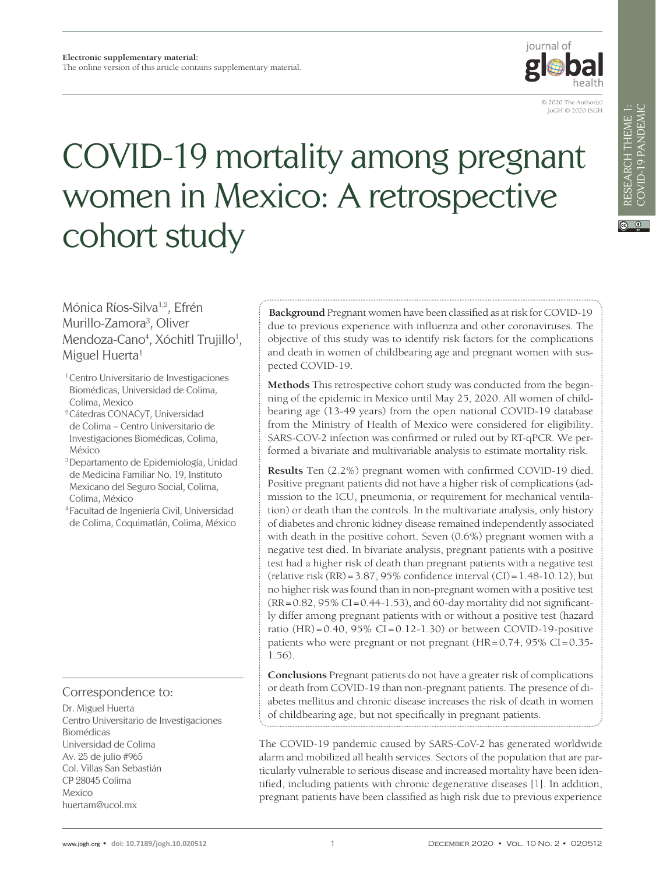

# COVID-19 mortality among pregnant women in Mexico: A retrospective cohort study

 $\circledcirc$   $\circledcirc$ 

Mónica Ríos-Silva1,2, Efrén Murillo-Zamora<sup>3</sup>, Oliver Mendoza-Cano<sup>4</sup>, Xóchitl Trujillo<sup>1</sup>, Miguel Huerta<sup>1</sup>

- <sup>1</sup> Centro Universitario de Investigaciones Biomédicas, Universidad de Colima, Colima, Mexico
- 2 Cátedras CONACyT, Universidad de Colima – Centro Universitario de Investigaciones Biomédicas, Colima, México
- 3 Departamento de Epidemiología, Unidad de Medicina Familiar No. 19, Instituto Mexicano del Seguro Social, Colima, Colima, México
- 4 Facultad de Ingeniería Civil, Universidad de Colima, Coquimatlán, Colima, México

#### Correspondence to:

Dr. Miguel Huerta Centro Universitario de Investigaciones Biomédicas Universidad de Colima Av. 25 de julio #965 Col. Villas San Sebastián CP 28045 Colima Mexico huertam@ucol.mx

**Background** Pregnant women have been classified as at risk for COVID-19 due to previous experience with influenza and other coronaviruses. The objective of this study was to identify risk factors for the complications and death in women of childbearing age and pregnant women with suspected COVID-19.

**Methods** This retrospective cohort study was conducted from the beginning of the epidemic in Mexico until May 25, 2020. All women of childbearing age (13-49 years) from the open national COVID-19 database from the Ministry of Health of Mexico were considered for eligibility. SARS-COV-2 infection was confirmed or ruled out by RT-qPCR. We performed a bivariate and multivariable analysis to estimate mortality risk.

**Results** Ten (2.2%) pregnant women with confirmed COVID-19 died. Positive pregnant patients did not have a higher risk of complications (admission to the ICU, pneumonia, or requirement for mechanical ventilation) or death than the controls. In the multivariate analysis, only history of diabetes and chronic kidney disease remained independently associated with death in the positive cohort. Seven (0.6%) pregnant women with a negative test died. In bivariate analysis, pregnant patients with a positive test had a higher risk of death than pregnant patients with a negative test (relative risk  $(RR) = 3.87$ , 95% confidence interval  $(CI) = 1.48-10.12$ ), but no higher risk was found than in non-pregnant women with a positive test  $(RR=0.82, 95\% CI = 0.44-1.53)$ , and 60-day mortality did not significantly differ among pregnant patients with or without a positive test (hazard ratio  $(HR) = 0.40$ , 95% CI=0.12-1.30) or between COVID-19-positive patients who were pregnant or not pregnant (HR=0.74, 95% CI=0.35- 1.56).

**Conclusions** Pregnant patients do not have a greater risk of complications or death from COVID-19 than non-pregnant patients. The presence of diabetes mellitus and chronic disease increases the risk of death in women of childbearing age, but not specifically in pregnant patients.

The COVID-19 pandemic caused by SARS-CoV-2 has generated worldwide alarm and mobilized all health services. Sectors of the population that are particularly vulnerable to serious disease and increased mortality have been identified, including patients with chronic degenerative diseases [\[1](#page-6-0)]. In addition, pregnant patients have been classified as high risk due to previous experience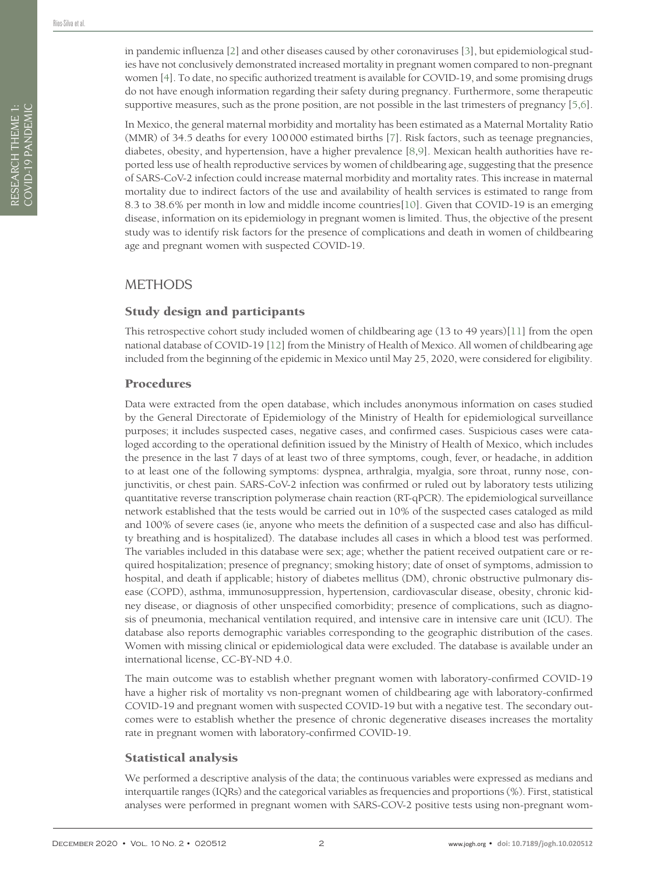RESEARCH THEME 1: COVID-19 PANDEMIC

RESEARCH THEME 1:<br>COVID-19 PANDEMIC

In Mexico, the general maternal morbidity and mortality has been estimated as a Maternal Mortality Ratio (MMR) of 34.5 deaths for every 100000 estimated births [[7](#page-7-2)]. Risk factors, such as teenage pregnancies, diabetes, obesity, and hypertension, have a higher prevalence [[8,](#page-7-3)[9\]](#page-7-4). Mexican health authorities have reported less use of health reproductive services by women of childbearing age, suggesting that the presence of SARS-CoV-2 infection could increase maternal morbidity and mortality rates. This increase in maternal mortality due to indirect factors of the use and availability of health services is estimated to range from 8.3 to 38.6% per month in low and middle income countries[\[10\]](#page-7-5). Given that COVID-19 is an emerging disease, information on its epidemiology in pregnant women is limited. Thus, the objective of the present study was to identify risk factors for the presence of complications and death in women of childbearing age and pregnant women with suspected COVID-19.

## **METHODS**

### Study design and participants

This retrospective cohort study included women of childbearing age (13 to 49 years)[\[11](#page-7-6)] from the open national database of COVID-19 [\[12\]](#page-7-7) from the Ministry of Health of Mexico. All women of childbearing age included from the beginning of the epidemic in Mexico until May 25, 2020, were considered for eligibility.

#### Procedures

Data were extracted from the open database, which includes anonymous information on cases studied by the General Directorate of Epidemiology of the Ministry of Health for epidemiological surveillance purposes; it includes suspected cases, negative cases, and confirmed cases. Suspicious cases were cataloged according to the operational definition issued by the Ministry of Health of Mexico, which includes the presence in the last 7 days of at least two of three symptoms, cough, fever, or headache, in addition to at least one of the following symptoms: dyspnea, arthralgia, myalgia, sore throat, runny nose, conjunctivitis, or chest pain. SARS-CoV-2 infection was confirmed or ruled out by laboratory tests utilizing quantitative reverse transcription polymerase chain reaction (RT-qPCR). The epidemiological surveillance network established that the tests would be carried out in 10% of the suspected cases cataloged as mild and 100% of severe cases (ie, anyone who meets the definition of a suspected case and also has difficulty breathing and is hospitalized). The database includes all cases in which a blood test was performed. The variables included in this database were sex; age; whether the patient received outpatient care or required hospitalization; presence of pregnancy; smoking history; date of onset of symptoms, admission to hospital, and death if applicable; history of diabetes mellitus (DM), chronic obstructive pulmonary disease (COPD), asthma, immunosuppression, hypertension, cardiovascular disease, obesity, chronic kidney disease, or diagnosis of other unspecified comorbidity; presence of complications, such as diagnosis of pneumonia, mechanical ventilation required, and intensive care in intensive care unit (ICU). The database also reports demographic variables corresponding to the geographic distribution of the cases. Women with missing clinical or epidemiological data were excluded. The database is available under an international license, CC-BY-ND 4.0.

The main outcome was to establish whether pregnant women with laboratory-confirmed COVID-19 have a higher risk of mortality vs non-pregnant women of childbearing age with laboratory-confirmed COVID-19 and pregnant women with suspected COVID-19 but with a negative test. The secondary outcomes were to establish whether the presence of chronic degenerative diseases increases the mortality rate in pregnant women with laboratory-confirmed COVID-19.

## Statistical analysis

We performed a descriptive analysis of the data; the continuous variables were expressed as medians and interquartile ranges (IQRs) and the categorical variables as frequencies and proportions (%). First, statistical analyses were performed in pregnant women with SARS-COV-2 positive tests using non-pregnant wom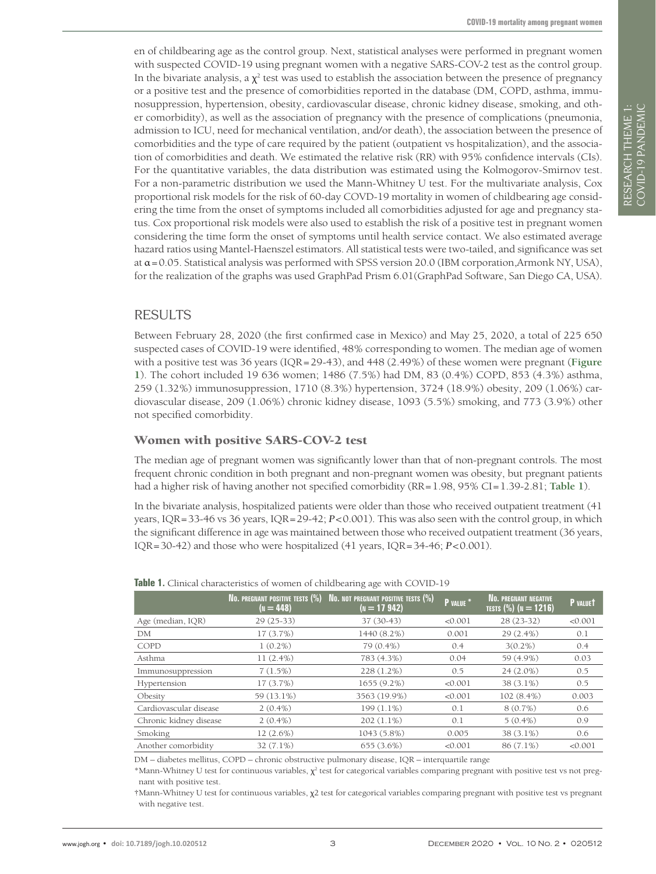en of childbearing age as the control group. Next, statistical analyses were performed in pregnant women with suspected COVID-19 using pregnant women with a negative SARS-COV-2 test as the control group. In the bivariate analysis, a  $\chi^2$  test was used to establish the association between the presence of pregnancy or a positive test and the presence of comorbidities reported in the database (DM, COPD, asthma, immunosuppression, hypertension, obesity, cardiovascular disease, chronic kidney disease, smoking, and other comorbidity), as well as the association of pregnancy with the presence of complications (pneumonia, admission to ICU, need for mechanical ventilation, and/or death), the association between the presence of comorbidities and the type of care required by the patient (outpatient vs hospitalization), and the association of comorbidities and death. We estimated the relative risk (RR) with 95% confidence intervals (CIs). For the quantitative variables, the data distribution was estimated using the Kolmogorov-Smirnov test. For a non-parametric distribution we used the Mann-Whitney U test. For the multivariate analysis, Cox proportional risk models for the risk of 60-day COVD-19 mortality in women of childbearing age considering the time from the onset of symptoms included all comorbidities adjusted for age and pregnancy status. Cox proportional risk models were also used to establish the risk of a positive test in pregnant women considering the time form the onset of symptoms until health service contact. We also estimated average hazard ratios using Mantel-Haenszel estimators. All statistical tests were two-tailed, and significance was set at α=0.05. Statistical analysis was performed with SPSS version 20.0 (IBM corporation,Armonk NY, USA), for the realization of the graphs was used GraphPad Prism 6.01(GraphPad Software, San Diego CA, USA).

#### RESULTS

Between February 28, 2020 (the first confirmed case in Mexico) and May 25, 2020, a total of 225 650 suspected cases of COVID-19 were identified, 48% corresponding to women. The median age of women with a positive test was 36 years (IQR=29-43), and 448 (2.49%) of these women were pregnant ([Figure](#page-3-0) **[1](#page-3-0)**). The cohort included 19 636 women; 1486 (7.5%) had DM, 83 (0.4%) COPD, 853 (4.3%) asthma, 259 (1.32%) immunosuppression, 1710 (8.3%) hypertension, 3724 (18.9%) obesity, 209 (1.06%) cardiovascular disease, 209 (1.06%) chronic kidney disease, 1093 (5.5%) smoking, and 773 (3.9%) other not specified comorbidity.

#### Women with positive SARS-COV-2 test

The median age of pregnant women was significantly lower than that of non-pregnant controls. The most frequent chronic condition in both pregnant and non-pregnant women was obesity, but pregnant patients had a higher risk of having another not specified comorbidity (RR=1.98, 95% CI=1.39-2.81; **[Table 1](#page-2-0)**).

In the bivariate analysis, hospitalized patients were older than those who received outpatient treatment (41 years, IQR=33-46 vs 36 years, IQR=29-42; *P*<0.001). This was also seen with the control group, in which the significant difference in age was maintained between those who received outpatient treatment (36 years, IQR=30-42) and those who were hospitalized (41 years, IQR=34-46; *P*<0.001).

|                        | <b>NO. PREGNANT POSITIVE TESTS (%)</b><br>$(N = 448)$ | No. NOT PREGNANT POSITIVE TESTS (%)<br>( $N = 17942$ ) | P VALUE <sup>*</sup> | <b>NO. PREGNANT NEGATIVE</b><br>TESTS $\binom{0}{0}$ (n = 1216) | P VALUET |
|------------------------|-------------------------------------------------------|--------------------------------------------------------|----------------------|-----------------------------------------------------------------|----------|
| Age (median, IOR)      | $29(25-33)$                                           | $37(30-43)$                                            | < 0.001              | 28 (23-32)                                                      | < 0.001  |
| DM.                    | $17(3.7\%)$                                           | 1440 (8.2%)                                            | 0.001                | $29(2.4\%)$                                                     | 0.1      |
| COPD                   | $1(0.2\%)$                                            | 79 (0.4%)                                              | 0.4                  | $3(0.2\%)$                                                      | 0.4      |
| Asthma                 | $11(2.4\%)$                                           | 783 (4.3%)                                             | 0.04                 | 59 (4.9%)                                                       | 0.03     |
| Immunosuppression      | 7(1.5%)                                               | 228 (1.2%)                                             | 0.5                  | $24(2.0\%)$                                                     | 0.5      |
| Hypertension           | 17(3.7%)                                              | 1655 (9.2%)                                            | < 0.001              | $38(3.1\%)$                                                     | 0.5      |
| Obesity                | 59 (13.1%)                                            | 3563 (19.9%)                                           | < 0.001              | 102 (8.4%)                                                      | 0.003    |
| Cardiovascular disease | $2(0.4\%)$                                            | 199 (1.1%)                                             | 0.1                  | $8(0.7\%)$                                                      | 0.6      |
| Chronic kidney disease | $2(0.4\%)$                                            | $202(1.1\%)$                                           | 0.1                  | $5(0.4\%)$                                                      | 0.9      |
| Smoking                | $12(2.6\%)$                                           | 1043 (5.8%)                                            | 0.005                | $38(3.1\%)$                                                     | 0.6      |
| Another comorbidity    | $32(7.1\%)$                                           | 655 (3.6%)                                             | < 0.001              | 86 (7.1%)                                                       | < 0.001  |

<span id="page-2-0"></span>**Table 1.** Clinical characteristics of women of childbearing age with COVID-19

DM – diabetes mellitus, COPD – chronic obstructive pulmonary disease, IQR – interquartile range

\*Mann-Whitney U test for continuous variables,  $\chi^2$  test for categorical variables comparing pregnant with positive test vs not pregnant with positive test.

†Mann-Whitney U test for continuous variables, χ2 test for categorical variables comparing pregnant with positive test vs pregnant with negative test.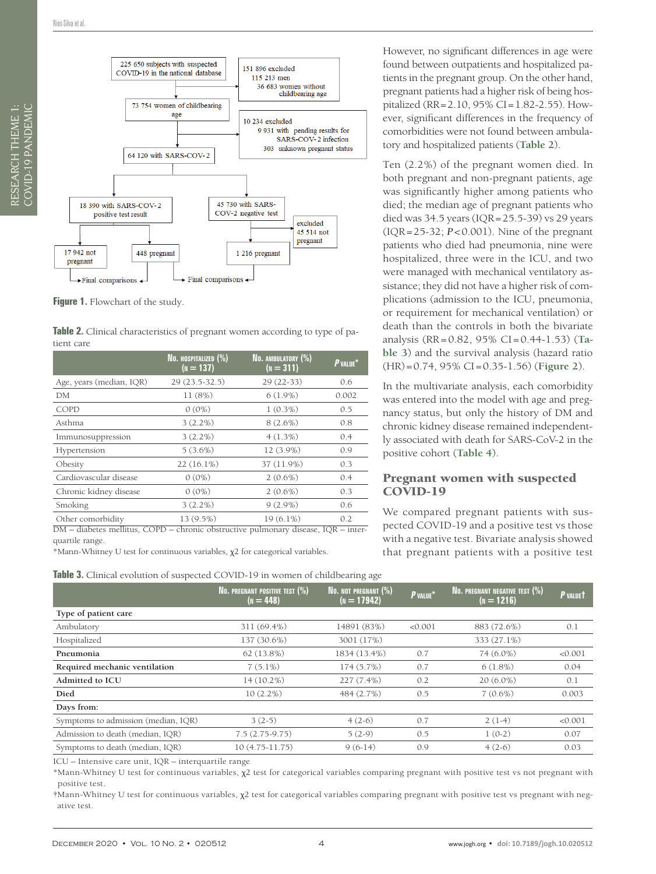<span id="page-3-0"></span>

**Figure 1.** Flowchart of the study.

<span id="page-3-1"></span>**Table 2.** Clinical characteristics of pregnant women according to type of patient care

|                          | NO. HOSPITALIZED $(\%)$<br>$(N = 137)$ | <b>No. AMBULATORY</b> $\binom{0}{0}$<br>(N = 311) | P VALUE <sup>*</sup> |
|--------------------------|----------------------------------------|---------------------------------------------------|----------------------|
| Age, years (median, IQR) | 29 (23.5-32.5)                         | 29 (22-33)                                        | 0.6                  |
| DM                       | 11 (8%)                                | $6(1.9\%)$                                        | 0.002                |
| COPD                     | $0(0\%)$                               | $1(0.3\%)$                                        | 0.5                  |
| Asthma                   | $3(2.2\%)$                             | 8(2.6%)                                           | 0.8                  |
| Immunosuppression        | $3(2.2\%)$                             | 4(1.3%)                                           | 0.4                  |
| Hypertension             | 5(3.6%)                                | 12 (3.9%)                                         | 0.9                  |
| Obesity                  | 22 (16.1%)                             | 37 (11.9%)                                        | 0.3                  |
| Cardiovascular disease   | $0(0\%)$                               | $2(0.6\%)$                                        | 0.4                  |
| Chronic kidney disease   | $0(0\%)$                               | $2(0.6\%)$                                        | 0.3                  |
| Smoking                  | $3(2.2\%)$                             | $9(2.9\%)$                                        | 0.6                  |
| Other comorbidity        | 13 (9.5%)                              | 19 (6.1%)                                         | 0.2                  |

DM – diabetes mellitus, COPD – chronic obstructive pulmonary disease, IQR – interquartile range.

<span id="page-3-2"></span>**Table 3.** Clinical evolution of suspected COVID-19 in women of childbearing age

 $*$ Mann-Whitney U test for continuous variables,  $\chi$ 2 for categorical variables.

However, no significant differences in age were found between outpatients and hospitalized patients in the pregnant group. On the other hand, pregnant patients had a higher risk of being hospitalized (RR=2.10, 95% CI=1.82-2.55). However, significant differences in the frequency of comorbidities were not found between ambulatory and hospitalized patients (**[Table 2](#page-3-1)**).

Ten (2.2%) of the pregnant women died. In both pregnant and non-pregnant patients, age was significantly higher among patients who died; the median age of pregnant patients who died was 34.5 years (IQR=25.5-39) vs 29 years (IQR=25-32; *P*<0.001). Nine of the pregnant patients who died had pneumonia, nine were hospitalized, three were in the ICU, and two were managed with mechanical ventilatory assistance; they did not have a higher risk of complications (admission to the ICU, pneumonia, or requirement for mechanical ventilation) or death than the controls in both the bivariate analysis (RR=0.82, 95% CI=0.44-1.53) (**[Ta](#page-3-2)[ble 3](#page-3-2)**) and the survival analysis (hazard ratio (HR)=0.74, 95% CI=0.35-1.56) (**[Figure 2](#page-4-0)**).

In the multivariate analysis, each comorbidity was entered into the model with age and pregnancy status, but only the history of DM and chronic kidney disease remained independently associated with death for SARS-CoV-2 in the positive cohort (**[Table 4](#page-4-1)**).

#### Pregnant women with suspected COVID-19

We compared pregnant patients with suspected COVID-19 and a positive test vs those with a negative test. Bivariate analysis showed that pregnant patients with a positive test

**No. pregnant positive test (%) (n=448) No. not pregnant (%) (n=17942) <sup>P</sup> value\* No. pregnant negative test (%) (n=1216) <sup>P</sup> value† Type of patient care** Ambulatory 311 (69.4%) 14891 (83%) <0.001 883 (72.6%) 0.1 Hospitalized 137 (30.6%) 3001 (17%) 333 (27.1%) **Pneumonia** 62 (13.8%) 1834 (13.4%) 0.7 74 (6.0%)  $(0.001)$ **Required mechanic ventilation** 7 (5.1%) 174 (5.7%) 0.7 6 (1.8%) 0.04 **Admitted to ICU** 14 (10.2%) 227 (7.4%) 0.2 20 (6.0%) 0.1 **Died** 10 (2.2%) 484 (2.7%) 0.5 7 (0.6%) 0.003 **Days from:** Symptoms to admission (median, IQR) 3 (2-5) 4 (2-6) 0.7 2 (1-4) <0.001 Admission to death (median, IQR)  $7.5 (2.75-9.75)$   $5 (2-9)$   $0.5$   $1 (0-2)$   $0.07$ Symptoms to death (median, IQR) 10 (4.75-11.75) 9 (6-14) 0.9 4 (2-6) 0.03 ICU – Intensive care unit, IQR – interquartile range

\*Mann-Whitney U test for continuous variables, χ2 test for categorical variables comparing pregnant with positive test vs not pregnant with positive test.

†Mann-Whitney U test for continuous variables, χ2 test for categorical variables comparing pregnant with positive test vs pregnant with negative test.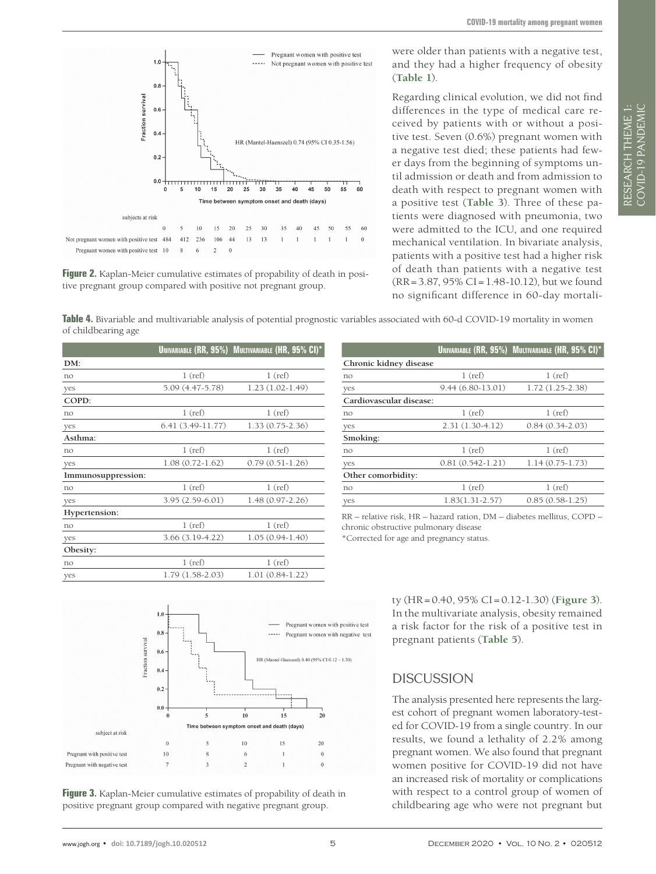<span id="page-4-0"></span>

**Figure 2.** Kaplan-Meier cumulative estimates of propability of death in positive pregnant group compared with positive not pregnant group.

were older than patients with a negative test, and they had a higher frequency of obesity (**[Table 1](#page-2-0)**).

Regarding clinical evolution, we did not find differences in the type of medical care received by patients with or without a positive test. Seven (0.6%) pregnant women with a negative test died; these patients had fewer days from the beginning of symptoms until admission or death and from admission to death with respect to pregnant women with a positive test (**[Table 3](#page-3-2)**). Three of these patients were diagnosed with pneumonia, two were admitted to the ICU, and one required mechanical ventilation. In bivariate analysis, patients with a positive test had a higher risk of death than patients with a negative test (RR=3.87, 95% CI=1.48-10.12), but we found no significant difference in 60-day mortali-

<span id="page-4-1"></span>Table 4. Bivariable and multivariable analysis of potential prognostic variables associated with 60-d COVID-19 mortality in women of childbearing age

|                    |                     | UNIVARIABLE (RR, 95%) MULTIVARIABLE (HR, 95% CI)* |
|--------------------|---------------------|---------------------------------------------------|
| DM:                |                     |                                                   |
| no                 | $1$ (ref)           | $1$ (ref)                                         |
| yes                | 5.09 (4.47-5.78)    | $1.23(1.02-1.49)$                                 |
| COPD:              |                     |                                                   |
| no                 | $1$ (ref)           | $1$ (ref)                                         |
| yes                | $6.41(3.49-11.77)$  | $1.33(0.75-2.36)$                                 |
| Asthma:            |                     |                                                   |
| no                 | $1$ (ref)           | $1$ (ref)                                         |
| yes                | $1.08(0.72 - 1.62)$ | $0.79(0.51-1.26)$                                 |
| Immunosuppression: |                     |                                                   |
| no                 | $1$ (ref)           | $1$ (ref)                                         |
| yes                | 3.95 (2.59-6.01)    | $1.48(0.97-2.26)$                                 |
| Hypertension:      |                     |                                                   |
| no                 | $1$ (ref)           | $1$ (ref)                                         |
| yes                | 3.66 (3.19-4.22)    | $1.05(0.94-1.40)$                                 |
| Obesity:           |                     |                                                   |
| no                 | $1$ (ref)           | $1$ (ref)                                         |
| yes                | $1.79(1.58-2.03)$   | $1.01(0.84-1.22)$                                 |

|                         |                      | UNIVARIABLE (RR, 95%) MULTIVARIABLE (HR, 95% CI)* |
|-------------------------|----------------------|---------------------------------------------------|
| Chronic kidney disease  |                      |                                                   |
| no                      | $1$ (ref)            | $1$ (ref)                                         |
| yes                     | $9.44(6.80-13.01)$   | $1.72(1.25-2.38)$                                 |
| Cardiovascular disease: |                      |                                                   |
| no                      | $1$ (ref)            | $1$ (ref)                                         |
| yes                     | $2.31(1.30-4.12)$    | $0.84(0.34-2.03)$                                 |
| Smoking:                |                      |                                                   |
| no                      | $1$ (ref)            | $1$ (ref)                                         |
| yes                     | $0.81(0.542 - 1.21)$ | $1.14(0.75-1.73)$                                 |
| Other comorbidity:      |                      |                                                   |
| no                      | $1$ (ref)            | $1$ (ref)                                         |
| yes                     | $1.83(1.31 - 2.57)$  | $0.85(0.58-1.25)$                                 |

RR – relative risk, HR – hazard ration, DM – diabetes mellitus, COPD – chronic obstructive pulmonary disease

\*Corrected for age and pregnancy status.

<span id="page-4-2"></span>

**Figure 3.** Kaplan-Meier cumulative estimates of propability of death in positive pregnant group compared with negative pregnant group.

ty (HR=0.40, 95% CI=0.12-1.30) (**[Figure 3](#page-4-2)**). In the multivariate analysis, obesity remained a risk factor for the risk of a positive test in pregnant patients (**[Table 5](#page-5-0)**).

## **DISCUSSION**

The analysis presented here represents the largest cohort of pregnant women laboratory-tested for COVID-19 from a single country. In our results, we found a lethality of 2.2% among pregnant women. We also found that pregnant women positive for COVID-19 did not have an increased risk of mortality or complications with respect to a control group of women of childbearing age who were not pregnant but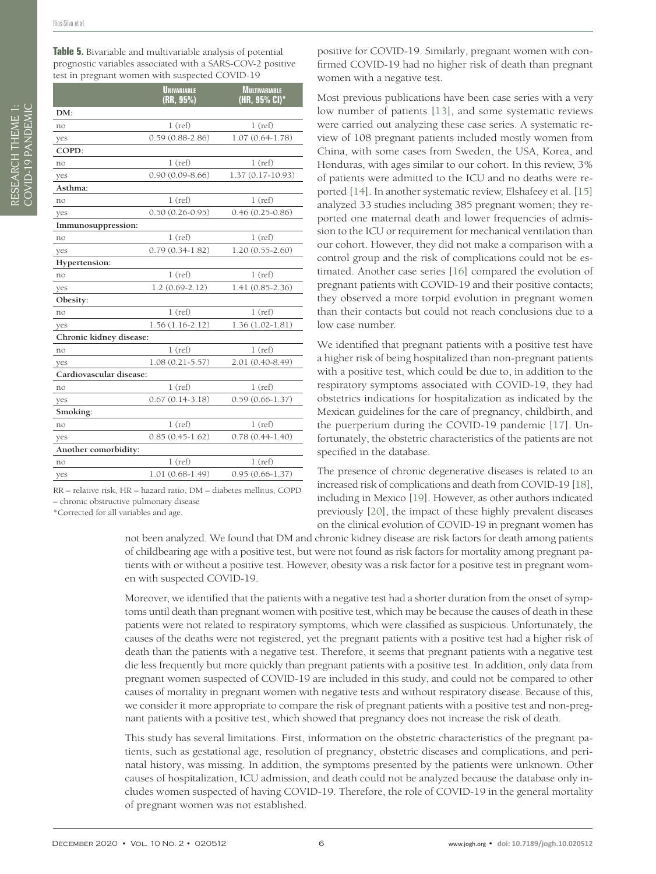<span id="page-5-0"></span>**Table 5.** Bivariable and multivariable analysis of potential prognostic variables associated with a SARS-COV-2 positive test in pregnant women with suspected COVID-19

|                         | <b>UNIVARIABLE</b><br>(RR, 95%) | <b>MULTIVARIABLE</b><br>(HR, 95% CI) $^*$ |
|-------------------------|---------------------------------|-------------------------------------------|
| DM:                     |                                 |                                           |
| no                      | $1$ (ref)                       | $1$ (ref)                                 |
| yes                     | $0.59(0.88-2.86)$               | $1.07(0.64 - 1.78)$                       |
| COPD:                   |                                 |                                           |
| no                      | $1$ (ref)                       | $1$ (ref)                                 |
| yes                     | $0.90(0.09 - 8.66)$             | 1.37 (0.17-10.93)                         |
| Asthma:                 |                                 |                                           |
| no                      | $1$ (ref)                       | $1$ (ref)                                 |
| yes                     | $0.50(0.26-0.95)$               | $0.46(0.25-0.86)$                         |
| Immunosuppression:      |                                 |                                           |
| no                      | $1$ (ref)                       | $1$ (ref)                                 |
| yes                     | $0.79(0.34-1.82)$               | $1.20(0.55-2.60)$                         |
| Hypertension:           |                                 |                                           |
| no                      | $1$ (ref)                       | $1$ (ref)                                 |
| yes                     | $1.2(0.69-2.12)$                | $1.41(0.85 - 2.36)$                       |
| Obesity:                |                                 |                                           |
| no                      | $1$ (ref)                       | $1$ (ref)                                 |
| yes                     | $1.56(1.16-2.12)$               | $1.36(1.02-1.81)$                         |
| Chronic kidney disease: |                                 |                                           |
| no                      | $1$ (ref)                       | $1$ (ref)                                 |
| yes                     | $1.08(0.21 - 5.57)$             | $2.01(0.40-8.49)$                         |
| Cardiovascular disease: |                                 |                                           |
| no                      | $1$ (ref)                       | $1$ (ref)                                 |
| yes                     | $0.67(0.14-3.18)$               | $0.59(0.66 - 1.37)$                       |
| Smoking:                |                                 |                                           |
| no                      | $1$ (ref)                       | $1$ (ref)                                 |
| yes                     | $0.85(0.45-1.62)$               | $0.78(0.44-1.40)$                         |
| Another comorbidity:    |                                 |                                           |
| no                      | $1$ (ref)                       | $1$ (ref)                                 |
| yes                     | $1.01(0.68-1.49)$               | $0.95(0.66 - 1.37)$                       |

RR – relative risk, HR – hazard ratio, DM – diabetes mellitus, COPD – chronic obstructive pulmonary disease

\*Corrected for all variables and age.

positive for COVID-19. Similarly, pregnant women with confirmed COVID-19 had no higher risk of death than pregnant women with a negative test.

Most previous publications have been case series with a very low number of patients [\[13](#page-7-8)], and some systematic reviews were carried out analyzing these case series. A systematic review of 108 pregnant patients included mostly women from China, with some cases from Sweden, the USA, Korea, and Honduras, with ages similar to our cohort. In this review, 3% of patients were admitted to the ICU and no deaths were reported [[14](#page-7-9)]. In another systematic review, Elshafeey et al. [\[15](#page-7-10)] analyzed 33 studies including 385 pregnant women; they reported one maternal death and lower frequencies of admission to the ICU or requirement for mechanical ventilation than our cohort. However, they did not make a comparison with a control group and the risk of complications could not be estimated. Another case series [\[16\]](#page-7-11) compared the evolution of pregnant patients with COVID-19 and their positive contacts; they observed a more torpid evolution in pregnant women than their contacts but could not reach conclusions due to a low case number.

We identified that pregnant patients with a positive test have a higher risk of being hospitalized than non-pregnant patients with a positive test, which could be due to, in addition to the respiratory symptoms associated with COVID-19, they had obstetrics indications for hospitalization as indicated by the Mexican guidelines for the care of pregnancy, childbirth, and the puerperium during the COVID-19 pandemic [\[17\]](#page-7-12). Unfortunately, the obstetric characteristics of the patients are not specified in the database.

The presence of chronic degenerative diseases is related to an increased risk of complications and death from COVID-19 [\[18\]](#page-7-13), including in Mexico [[19](#page-7-14)]. However, as other authors indicated previously [\[20\]](#page-7-15), the impact of these highly prevalent diseases on the clinical evolution of COVID-19 in pregnant women has

not been analyzed. We found that DM and chronic kidney disease are risk factors for death among patients of childbearing age with a positive test, but were not found as risk factors for mortality among pregnant patients with or without a positive test. However, obesity was a risk factor for a positive test in pregnant women with suspected COVID-19.

Moreover, we identified that the patients with a negative test had a shorter duration from the onset of symptoms until death than pregnant women with positive test, which may be because the causes of death in these patients were not related to respiratory symptoms, which were classified as suspicious. Unfortunately, the causes of the deaths were not registered, yet the pregnant patients with a positive test had a higher risk of death than the patients with a negative test. Therefore, it seems that pregnant patients with a negative test die less frequently but more quickly than pregnant patients with a positive test. In addition, only data from pregnant women suspected of COVID-19 are included in this study, and could not be compared to other causes of mortality in pregnant women with negative tests and without respiratory disease. Because of this, we consider it more appropriate to compare the risk of pregnant patients with a positive test and non-pregnant patients with a positive test, which showed that pregnancy does not increase the risk of death.

This study has several limitations. First, information on the obstetric characteristics of the pregnant patients, such as gestational age, resolution of pregnancy, obstetric diseases and complications, and perinatal history, was missing. In addition, the symptoms presented by the patients were unknown. Other causes of hospitalization, ICU admission, and death could not be analyzed because the database only includes women suspected of having COVID-19. Therefore, the role of COVID-19 in the general mortality of pregnant women was not established.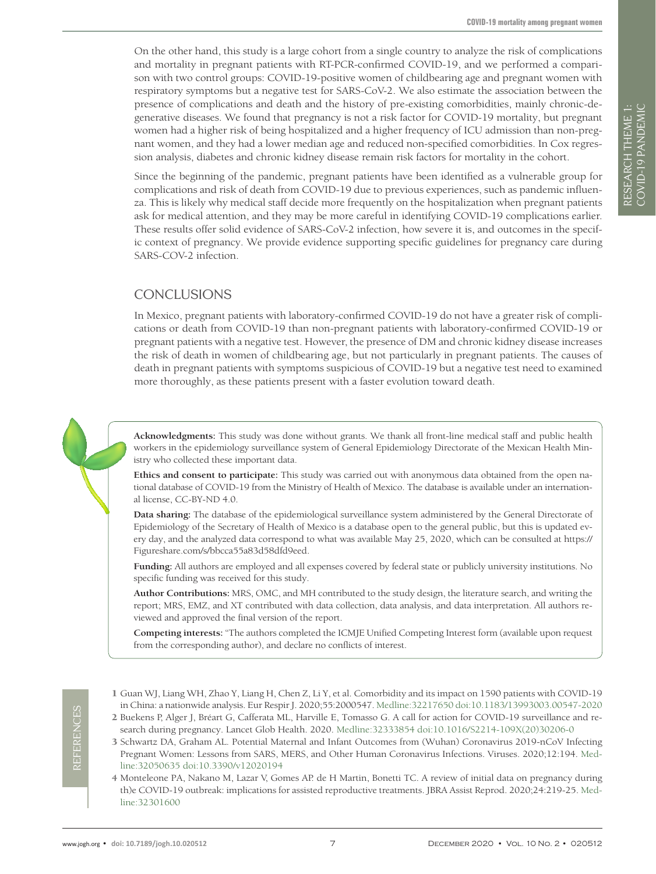On the other hand, this study is a large cohort from a single country to analyze the risk of complications and mortality in pregnant patients with RT-PCR-confirmed COVID-19, and we performed a comparison with two control groups: COVID-19-positive women of childbearing age and pregnant women with respiratory symptoms but a negative test for SARS-CoV-2. We also estimate the association between the presence of complications and death and the history of pre-existing comorbidities, mainly chronic-degenerative diseases. We found that pregnancy is not a risk factor for COVID-19 mortality, but pregnant women had a higher risk of being hospitalized and a higher frequency of ICU admission than non-pregnant women, and they had a lower median age and reduced non-specified comorbidities. In Cox regression analysis, diabetes and chronic kidney disease remain risk factors for mortality in the cohort.

Since the beginning of the pandemic, pregnant patients have been identified as a vulnerable group for complications and risk of death from COVID-19 due to previous experiences, such as pandemic influenza. This is likely why medical staff decide more frequently on the hospitalization when pregnant patients ask for medical attention, and they may be more careful in identifying COVID-19 complications earlier. These results offer solid evidence of SARS-CoV-2 infection, how severe it is, and outcomes in the specific context of pregnancy. We provide evidence supporting specific guidelines for pregnancy care during SARS-COV-2 infection.

#### CONCLUSIONS

In Mexico, pregnant patients with laboratory-confirmed COVID-19 do not have a greater risk of complications or death from COVID-19 than non-pregnant patients with laboratory-confirmed COVID-19 or pregnant patients with a negative test. However, the presence of DM and chronic kidney disease increases the risk of death in women of childbearing age, but not particularly in pregnant patients. The causes of death in pregnant patients with symptoms suspicious of COVID-19 but a negative test need to examined more thoroughly, as these patients present with a faster evolution toward death.

**Acknowledgments:** This study was done without grants. We thank all front-line medical staff and public health workers in the epidemiology surveillance system of General Epidemiology Directorate of the Mexican Health Ministry who collected these important data.

**Ethics and consent to participate:** This study was carried out with anonymous data obtained from the open national database of COVID-19 from the Ministry of Health of Mexico. The database is available under an international license, CC-BY-ND 4.0.

**Data sharing:** The database of the epidemiological surveillance system administered by the General Directorate of Epidemiology of the Secretary of Health of Mexico is a database open to the general public, but this is updated every day, and the analyzed data correspond to what was available May 25, 2020, which can be consulted at [https://](https://Figureshare.com/s/bbcca55a83d58dfd9eed) [Figureshare.com/s/bbcca55a83d58dfd9eed.](https://Figureshare.com/s/bbcca55a83d58dfd9eed)

**Funding:** All authors are employed and all expenses covered by federal state or publicly university institutions. No specific funding was received for this study.

**Author Contributions:** MRS, OMC, and MH contributed to the study design, the literature search, and writing the report; MRS, EMZ, and XT contributed with data collection, data analysis, and data interpretation. All authors reviewed and approved the final version of the report.

**Competing interests:** "The authors completed the ICMJE Unified Competing Interest form (available upon request from the corresponding author), and declare no conflicts of interest.

- <span id="page-6-0"></span>1 Guan WJ, Liang WH, Zhao Y, Liang H, Chen Z, Li Y, et al. Comorbidity and its impact on 1590 patients with COVID-19 in China: a nationwide analysis. Eur Respir J. 2020;55:2000547. [Medline:32217650](https://www.ncbi.nlm.nih.gov/entrez/query.fcgi?cmd=Retrieve&db=PubMed&list_uids=32217650&dopt=Abstract) [doi:10.1183/13993003.00547-2020](https://doi.org/10.1183/13993003.00547-2020)
- <span id="page-6-1"></span>2 Buekens P, Alger J, Bréart G, Cafferata ML, Harville E, Tomasso G. A call for action for COVID-19 surveillance and research during pregnancy. Lancet Glob Health. 2020. [Medline:32333854](https://www.ncbi.nlm.nih.gov/entrez/query.fcgi?cmd=Retrieve&db=PubMed&list_uids=32333854&dopt=Abstract) [doi:10.1016/S2214-109X\(20\)30206-0](https://doi.org/10.1016/S2214-109X(20)30206-0)
- <span id="page-6-2"></span>3 Schwartz DA, Graham AL. Potential Maternal and Infant Outcomes from (Wuhan) Coronavirus 2019-nCoV Infecting Pregnant Women: Lessons from SARS, MERS, and Other Human Coronavirus Infections. Viruses. 2020;12:194. [Med](https://www.ncbi.nlm.nih.gov/entrez/query.fcgi?cmd=Retrieve&db=PubMed&list_uids=32050635&dopt=Abstract)[line:32050635](https://www.ncbi.nlm.nih.gov/entrez/query.fcgi?cmd=Retrieve&db=PubMed&list_uids=32050635&dopt=Abstract) [doi:10.3390/v12020194](https://doi.org/10.3390/v12020194)
- <span id="page-6-3"></span>4 Monteleone PA, Nakano M, Lazar V, Gomes AP. de H Martin, Bonetti TC. A review of initial data on pregnancy during th)e COVID-19 outbreak: implications for assisted reproductive treatments. JBRA Assist Reprod. 2020;24:219-25. [Med](https://www.ncbi.nlm.nih.gov/entrez/query.fcgi?cmd=Retrieve&db=PubMed&list_uids=32301600&dopt=Abstract)[line:32301600](https://www.ncbi.nlm.nih.gov/entrez/query.fcgi?cmd=Retrieve&db=PubMed&list_uids=32301600&dopt=Abstract)